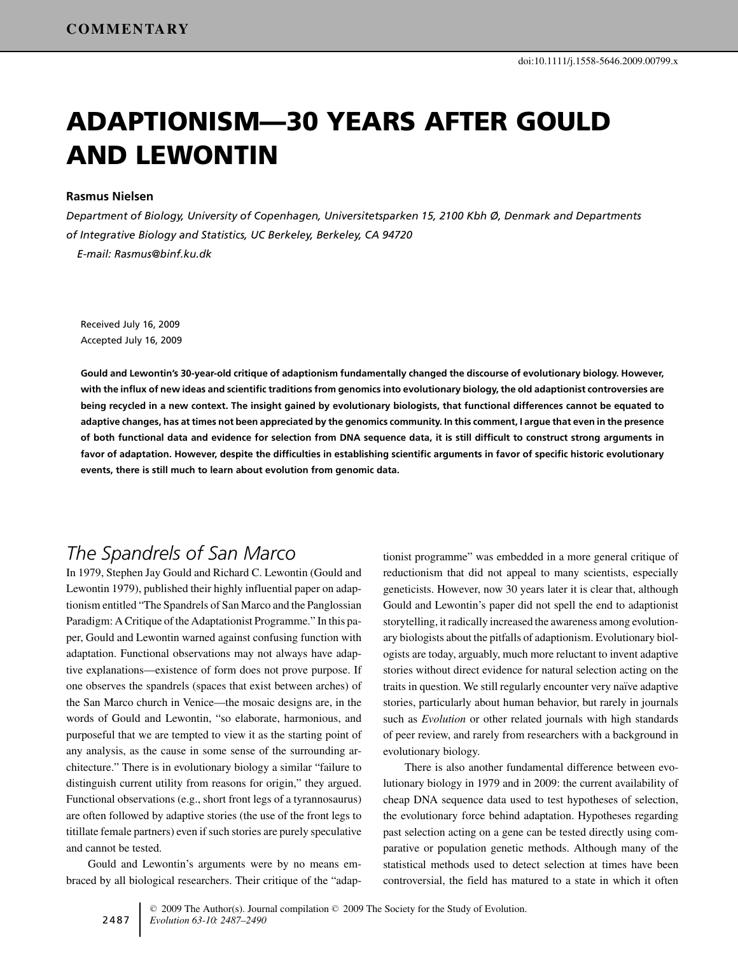# ADAPTIONISM—30 YEARS AFTER GOULD AND LEWONTIN

#### **Rasmus Nielsen**

*Department of Biology, University of Copenhagen, Universitetsparken 15, 2100 Kbh Ø, Denmark and Departments of Integrative Biology and Statistics, UC Berkeley, Berkeley, CA 94720 E-mail: Rasmus@binf.ku.dk*

Received July 16, 2009 Accepted July 16, 2009

**Gould and Lewontin's 30-year-old critique of adaptionism fundamentally changed the discourse of evolutionary biology. However, with the influx of new ideas and scientific traditions from genomics into evolutionary biology, the old adaptionist controversies are being recycled in a new context. The insight gained by evolutionary biologists, that functional differences cannot be equated to adaptive changes, has at times not been appreciated by the genomics community. In this comment, I argue that even in the presence of both functional data and evidence for selection from DNA sequence data, it is still difficult to construct strong arguments in favor of adaptation. However, despite the difficulties in establishing scientific arguments in favor of specific historic evolutionary events, there is still much to learn about evolution from genomic data.**

### *The Spandrels of San Marco*

In 1979, Stephen Jay Gould and Richard C. Lewontin (Gould and Lewontin 1979), published their highly influential paper on adaptionism entitled "The Spandrels of San Marco and the Panglossian Paradigm: A Critique of the Adaptationist Programme." In this paper, Gould and Lewontin warned against confusing function with adaptation. Functional observations may not always have adaptive explanations—existence of form does not prove purpose. If one observes the spandrels (spaces that exist between arches) of the San Marco church in Venice—the mosaic designs are, in the words of Gould and Lewontin, "so elaborate, harmonious, and purposeful that we are tempted to view it as the starting point of any analysis, as the cause in some sense of the surrounding architecture." There is in evolutionary biology a similar "failure to distinguish current utility from reasons for origin," they argued. Functional observations (e.g., short front legs of a tyrannosaurus) are often followed by adaptive stories (the use of the front legs to titillate female partners) even if such stories are purely speculative and cannot be tested.

Gould and Lewontin's arguments were by no means embraced by all biological researchers. Their critique of the "adaptionist programme" was embedded in a more general critique of reductionism that did not appeal to many scientists, especially geneticists. However, now 30 years later it is clear that, although Gould and Lewontin's paper did not spell the end to adaptionist storytelling, it radically increased the awareness among evolutionary biologists about the pitfalls of adaptionism. Evolutionary biologists are today, arguably, much more reluctant to invent adaptive stories without direct evidence for natural selection acting on the traits in question. We still regularly encounter very naïve adaptive stories, particularly about human behavior, but rarely in journals such as *Evolution* or other related journals with high standards of peer review, and rarely from researchers with a background in evolutionary biology.

There is also another fundamental difference between evolutionary biology in 1979 and in 2009: the current availability of cheap DNA sequence data used to test hypotheses of selection, the evolutionary force behind adaptation. Hypotheses regarding past selection acting on a gene can be tested directly using comparative or population genetic methods. Although many of the statistical methods used to detect selection at times have been controversial, the field has matured to a state in which it often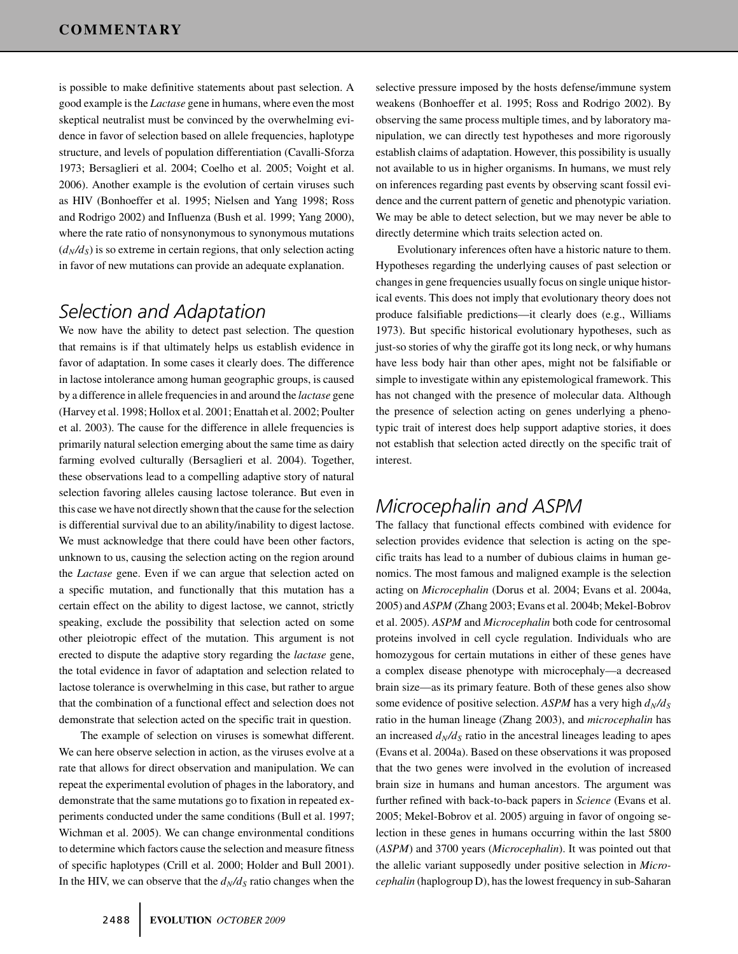is possible to make definitive statements about past selection. A good example is the *Lactase* gene in humans, where even the most skeptical neutralist must be convinced by the overwhelming evidence in favor of selection based on allele frequencies, haplotype structure, and levels of population differentiation (Cavalli-Sforza 1973; Bersaglieri et al. 2004; Coelho et al. 2005; Voight et al. 2006). Another example is the evolution of certain viruses such as HIV (Bonhoeffer et al. 1995; Nielsen and Yang 1998; Ross and Rodrigo 2002) and Influenza (Bush et al. 1999; Yang 2000), where the rate ratio of nonsynonymous to synonymous mutations  $(d_N/d_S)$  is so extreme in certain regions, that only selection acting in favor of new mutations can provide an adequate explanation.

### *Selection and Adaptation*

We now have the ability to detect past selection. The question that remains is if that ultimately helps us establish evidence in favor of adaptation. In some cases it clearly does. The difference in lactose intolerance among human geographic groups, is caused by a difference in allele frequencies in and around the *lactase* gene (Harvey et al. 1998; Hollox et al. 2001; Enattah et al. 2002; Poulter et al. 2003). The cause for the difference in allele frequencies is primarily natural selection emerging about the same time as dairy farming evolved culturally (Bersaglieri et al. 2004). Together, these observations lead to a compelling adaptive story of natural selection favoring alleles causing lactose tolerance. But even in this case we have not directly shown that the cause for the selection is differential survival due to an ability/inability to digest lactose. We must acknowledge that there could have been other factors, unknown to us, causing the selection acting on the region around the *Lactase* gene. Even if we can argue that selection acted on a specific mutation, and functionally that this mutation has a certain effect on the ability to digest lactose, we cannot, strictly speaking, exclude the possibility that selection acted on some other pleiotropic effect of the mutation. This argument is not erected to dispute the adaptive story regarding the *lactase* gene, the total evidence in favor of adaptation and selection related to lactose tolerance is overwhelming in this case, but rather to argue that the combination of a functional effect and selection does not demonstrate that selection acted on the specific trait in question.

The example of selection on viruses is somewhat different. We can here observe selection in action, as the viruses evolve at a rate that allows for direct observation and manipulation. We can repeat the experimental evolution of phages in the laboratory, and demonstrate that the same mutations go to fixation in repeated experiments conducted under the same conditions (Bull et al. 1997; Wichman et al. 2005). We can change environmental conditions to determine which factors cause the selection and measure fitness of specific haplotypes (Crill et al. 2000; Holder and Bull 2001). In the HIV, we can observe that the  $d_N/d_S$  ratio changes when the

selective pressure imposed by the hosts defense/immune system weakens (Bonhoeffer et al. 1995; Ross and Rodrigo 2002). By observing the same process multiple times, and by laboratory manipulation, we can directly test hypotheses and more rigorously establish claims of adaptation. However, this possibility is usually not available to us in higher organisms. In humans, we must rely on inferences regarding past events by observing scant fossil evidence and the current pattern of genetic and phenotypic variation. We may be able to detect selection, but we may never be able to directly determine which traits selection acted on.

Evolutionary inferences often have a historic nature to them. Hypotheses regarding the underlying causes of past selection or changes in gene frequencies usually focus on single unique historical events. This does not imply that evolutionary theory does not produce falsifiable predictions—it clearly does (e.g., Williams 1973). But specific historical evolutionary hypotheses, such as just-so stories of why the giraffe got its long neck, or why humans have less body hair than other apes, might not be falsifiable or simple to investigate within any epistemological framework. This has not changed with the presence of molecular data. Although the presence of selection acting on genes underlying a phenotypic trait of interest does help support adaptive stories, it does not establish that selection acted directly on the specific trait of interest.

## *Microcephalin and ASPM*

The fallacy that functional effects combined with evidence for selection provides evidence that selection is acting on the specific traits has lead to a number of dubious claims in human genomics. The most famous and maligned example is the selection acting on *Microcephalin* (Dorus et al. 2004; Evans et al. 2004a, 2005) and *ASPM* (Zhang 2003; Evans et al. 2004b; Mekel-Bobrov et al. 2005). *ASPM* and *Microcephalin* both code for centrosomal proteins involved in cell cycle regulation. Individuals who are homozygous for certain mutations in either of these genes have a complex disease phenotype with microcephaly—a decreased brain size—as its primary feature. Both of these genes also show some evidence of positive selection. *ASPM* has a very high  $d_N/d_S$ ratio in the human lineage (Zhang 2003), and *microcephalin* has an increased  $d_N/d_S$  ratio in the ancestral lineages leading to apes (Evans et al. 2004a). Based on these observations it was proposed that the two genes were involved in the evolution of increased brain size in humans and human ancestors. The argument was further refined with back-to-back papers in *Science* (Evans et al. 2005; Mekel-Bobrov et al. 2005) arguing in favor of ongoing selection in these genes in humans occurring within the last 5800 (*ASPM*) and 3700 years (*Microcephalin*). It was pointed out that the allelic variant supposedly under positive selection in *Microcephalin* (haplogroup D), has the lowest frequency in sub-Saharan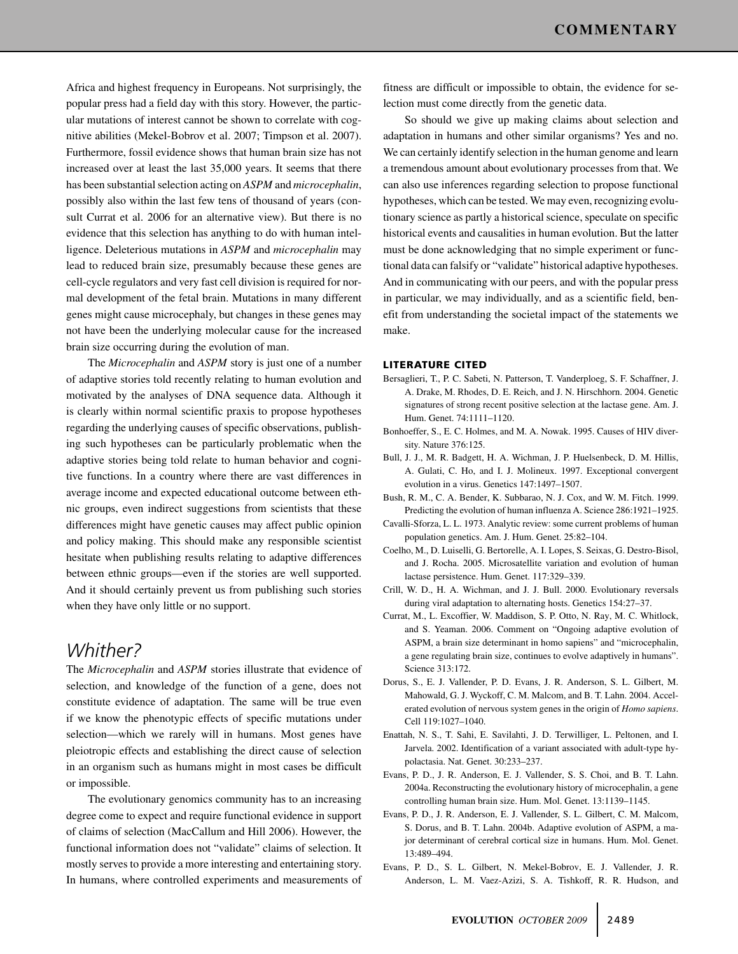Africa and highest frequency in Europeans. Not surprisingly, the popular press had a field day with this story. However, the particular mutations of interest cannot be shown to correlate with cognitive abilities (Mekel-Bobrov et al. 2007; Timpson et al. 2007). Furthermore, fossil evidence shows that human brain size has not increased over at least the last 35,000 years. It seems that there has been substantial selection acting on *ASPM* and *microcephalin*, possibly also within the last few tens of thousand of years (consult Currat et al. 2006 for an alternative view). But there is no evidence that this selection has anything to do with human intelligence. Deleterious mutations in *ASPM* and *microcephalin* may lead to reduced brain size, presumably because these genes are cell-cycle regulators and very fast cell division is required for normal development of the fetal brain. Mutations in many different genes might cause microcephaly, but changes in these genes may not have been the underlying molecular cause for the increased brain size occurring during the evolution of man.

The *Microcephalin* and *ASPM* story is just one of a number of adaptive stories told recently relating to human evolution and motivated by the analyses of DNA sequence data. Although it is clearly within normal scientific praxis to propose hypotheses regarding the underlying causes of specific observations, publishing such hypotheses can be particularly problematic when the adaptive stories being told relate to human behavior and cognitive functions. In a country where there are vast differences in average income and expected educational outcome between ethnic groups, even indirect suggestions from scientists that these differences might have genetic causes may affect public opinion and policy making. This should make any responsible scientist hesitate when publishing results relating to adaptive differences between ethnic groups—even if the stories are well supported. And it should certainly prevent us from publishing such stories when they have only little or no support.

#### *Whither?*

The *Microcephalin* and *ASPM* stories illustrate that evidence of selection, and knowledge of the function of a gene, does not constitute evidence of adaptation. The same will be true even if we know the phenotypic effects of specific mutations under selection—which we rarely will in humans. Most genes have pleiotropic effects and establishing the direct cause of selection in an organism such as humans might in most cases be difficult or impossible.

The evolutionary genomics community has to an increasing degree come to expect and require functional evidence in support of claims of selection (MacCallum and Hill 2006). However, the functional information does not "validate" claims of selection. It mostly serves to provide a more interesting and entertaining story. In humans, where controlled experiments and measurements of

fitness are difficult or impossible to obtain, the evidence for selection must come directly from the genetic data.

So should we give up making claims about selection and adaptation in humans and other similar organisms? Yes and no. We can certainly identify selection in the human genome and learn a tremendous amount about evolutionary processes from that. We can also use inferences regarding selection to propose functional hypotheses, which can be tested. We may even, recognizing evolutionary science as partly a historical science, speculate on specific historical events and causalities in human evolution. But the latter must be done acknowledging that no simple experiment or functional data can falsify or "validate" historical adaptive hypotheses. And in communicating with our peers, and with the popular press in particular, we may individually, and as a scientific field, benefit from understanding the societal impact of the statements we make.

#### LITERATURE CITED

- Bersaglieri, T., P. C. Sabeti, N. Patterson, T. Vanderploeg, S. F. Schaffner, J. A. Drake, M. Rhodes, D. E. Reich, and J. N. Hirschhorn. 2004. Genetic signatures of strong recent positive selection at the lactase gene. Am. J. Hum. Genet. 74:1111–1120.
- Bonhoeffer, S., E. C. Holmes, and M. A. Nowak. 1995. Causes of HIV diversity. Nature 376:125.
- Bull, J. J., M. R. Badgett, H. A. Wichman, J. P. Huelsenbeck, D. M. Hillis, A. Gulati, C. Ho, and I. J. Molineux. 1997. Exceptional convergent evolution in a virus. Genetics 147:1497–1507.
- Bush, R. M., C. A. Bender, K. Subbarao, N. J. Cox, and W. M. Fitch. 1999. Predicting the evolution of human influenza A. Science 286:1921–1925.
- Cavalli-Sforza, L. L. 1973. Analytic review: some current problems of human population genetics. Am. J. Hum. Genet. 25:82–104.
- Coelho, M., D. Luiselli, G. Bertorelle, A. I. Lopes, S. Seixas, G. Destro-Bisol, and J. Rocha. 2005. Microsatellite variation and evolution of human lactase persistence. Hum. Genet. 117:329–339.
- Crill, W. D., H. A. Wichman, and J. J. Bull. 2000. Evolutionary reversals during viral adaptation to alternating hosts. Genetics 154:27–37.
- Currat, M., L. Excoffier, W. Maddison, S. P. Otto, N. Ray, M. C. Whitlock, and S. Yeaman. 2006. Comment on "Ongoing adaptive evolution of ASPM, a brain size determinant in homo sapiens" and "microcephalin, a gene regulating brain size, continues to evolve adaptively in humans". Science 313:172.
- Dorus, S., E. J. Vallender, P. D. Evans, J. R. Anderson, S. L. Gilbert, M. Mahowald, G. J. Wyckoff, C. M. Malcom, and B. T. Lahn. 2004. Accelerated evolution of nervous system genes in the origin of *Homo sapiens*. Cell 119:1027–1040.
- Enattah, N. S., T. Sahi, E. Savilahti, J. D. Terwilliger, L. Peltonen, and I. Jarvela. 2002. Identification of a variant associated with adult-type hypolactasia. Nat. Genet. 30:233–237.
- Evans, P. D., J. R. Anderson, E. J. Vallender, S. S. Choi, and B. T. Lahn. 2004a. Reconstructing the evolutionary history of microcephalin, a gene controlling human brain size. Hum. Mol. Genet. 13:1139–1145.
- Evans, P. D., J. R. Anderson, E. J. Vallender, S. L. Gilbert, C. M. Malcom, S. Dorus, and B. T. Lahn. 2004b. Adaptive evolution of ASPM, a major determinant of cerebral cortical size in humans. Hum. Mol. Genet. 13:489–494.
- Evans, P. D., S. L. Gilbert, N. Mekel-Bobrov, E. J. Vallender, J. R. Anderson, L. M. Vaez-Azizi, S. A. Tishkoff, R. R. Hudson, and